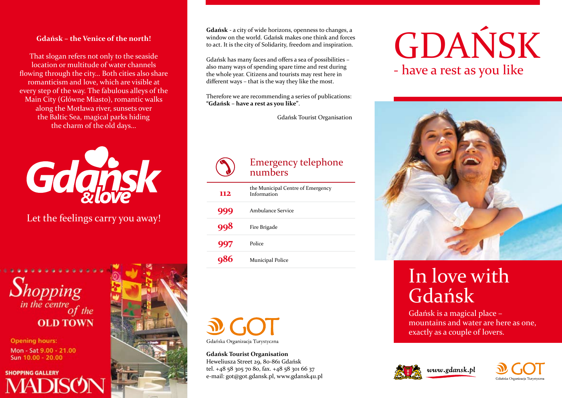### **Gdańsk – the Venice of the north!**

That slogan refers not only to the seaside location or multitude of water channels flowing through the city… Both cities also share romanticism and love, which are visible at every step of the way. The fabulous alleys of the Main City (Główne Miasto), romantic walks along the Motława river, sunsets over the Baltic Sea, magical parks hiding the charm of the old days…



Let the feelings carry you away!



**Opening hours:** Mon - Sat 9.00 - 21.00 Sun 10.00 - 20.00

**SHOPPING GALLERY** 



**Gdańsk** - a city of wide horizons, openness to changes, a window on the world. Gdańsk makes one think and forces to act. It is the city of Solidarity, freedom and inspiration.

Gdańsk has many faces and offers a sea of possibilities – also many ways of spending spare time and rest during the whole year. Citizens and tourists may rest here in different ways – that is the way they like the most.

Therefore we are recommending a series of publications: **"Gdańsk – have a rest as you like"**.

Gdańsk Tourist Organisation

# Emergency telephone numbers

| 112 | the Municipal Centre of Emergency<br>Information |
|-----|--------------------------------------------------|
| 999 | Ambulance Service                                |
| 998 | Fire Brigade                                     |
| 997 | Police                                           |
|     | Municipal Police                                 |



**Gdańsk Tourist Organisation** Heweliusza Street 29, 80-861 Gdańsk tel. +48 58 305 70 80, fax. +48 58 301 66 37 e-mail: got@got.gdansk.pl, www.gdansk4u.pl

# GDAŃSK - have a rest as you like



# In love with Gdańsk

Gdańsk is a magical place – mountains and water are here as one, exactly as a couple of lovers.